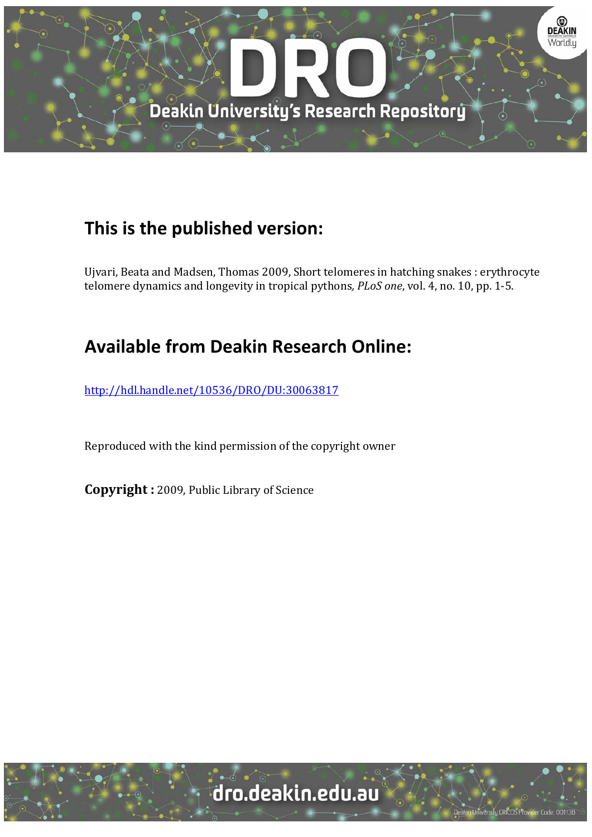

# **This is the published version:**

Ujvari, Beata and Madsen, Thomas 2009, Short telomeres in hatching snakes : erythrocyte telomere dynamics and longevity in tropical pythons, *PLoS one*, vol. 4, no. 10, pp. 1-5.

# **Available from Deakin Research Online:**

http://hdl.handle.net/10536/DRO/DU:30063817

Reproduced with the kind permission of the copyright owner

**Copyright** : 2009, Public Library of Science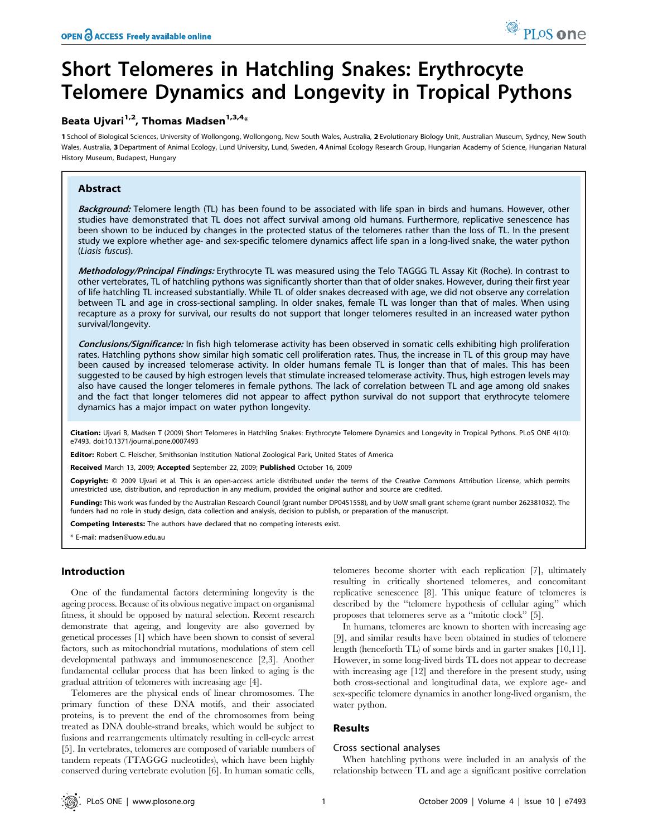## Short Telomeres in Hatchling Snakes: Erythrocyte Telomere Dynamics and Longevity in Tropical Pythons

## Beata Ujvari<sup>1,2</sup>, Thomas Madsen<sup>1,3,4</sup>\*

1 School of Biological Sciences, University of Wollongong, Wollongong, New South Wales, Australia, 2 Evolutionary Biology Unit, Australian Museum, Sydney, New South Wales, Australia, 3 Department of Animal Ecology, Lund University, Lund, Sweden, 4 Animal Ecology Research Group, Hungarian Academy of Science, Hungarian Natural History Museum, Budapest, Hungary

## Abstract

Background: Telomere length (TL) has been found to be associated with life span in birds and humans. However, other studies have demonstrated that TL does not affect survival among old humans. Furthermore, replicative senescence has been shown to be induced by changes in the protected status of the telomeres rather than the loss of TL. In the present study we explore whether age- and sex-specific telomere dynamics affect life span in a long-lived snake, the water python (Liasis fuscus).

Methodology/Principal Findings: Erythrocyte TL was measured using the Telo TAGGG TL Assay Kit (Roche). In contrast to other vertebrates, TL of hatchling pythons was significantly shorter than that of older snakes. However, during their first year of life hatchling TL increased substantially. While TL of older snakes decreased with age, we did not observe any correlation between TL and age in cross-sectional sampling. In older snakes, female TL was longer than that of males. When using recapture as a proxy for survival, our results do not support that longer telomeres resulted in an increased water python survival/longevity.

Conclusions/Significance: In fish high telomerase activity has been observed in somatic cells exhibiting high proliferation rates. Hatchling pythons show similar high somatic cell proliferation rates. Thus, the increase in TL of this group may have been caused by increased telomerase activity. In older humans female TL is longer than that of males. This has been suggested to be caused by high estrogen levels that stimulate increased telomerase activity. Thus, high estrogen levels may also have caused the longer telomeres in female pythons. The lack of correlation between TL and age among old snakes and the fact that longer telomeres did not appear to affect python survival do not support that erythrocyte telomere dynamics has a major impact on water python longevity.

Citation: Ujvari B, Madsen T (2009) Short Telomeres in Hatchling Snakes: Erythrocyte Telomere Dynamics and Longevity in Tropical Pythons. PLoS ONE 4(10): e7493. doi:10.1371/journal.pone.0007493

Editor: Robert C. Fleischer, Smithsonian Institution National Zoological Park, United States of America

Received March 13, 2009; Accepted September 22, 2009; Published October 16, 2009

Copyright: @ 2009 Ujvari et al. This is an open-access article distributed under the terms of the Creative Commons Attribution License, which permits unrestricted use, distribution, and reproduction in any medium, provided the original author and source are credited.

Funding: This work was funded by the Australian Research Council (grant number DP0451558), and by UoW small grant scheme (grant number 262381032). The funders had no role in study design, data collection and analysis, decision to publish, or preparation of the manuscript.

Competing Interests: The authors have declared that no competing interests exist.

\* E-mail: madsen@uow.edu.au

### Introduction

One of the fundamental factors determining longevity is the ageing process. Because of its obvious negative impact on organismal fitness, it should be opposed by natural selection. Recent research demonstrate that ageing, and longevity are also governed by genetical processes [1] which have been shown to consist of several factors, such as mitochondrial mutations, modulations of stem cell developmental pathways and immunosenescence [2,3]. Another fundamental cellular process that has been linked to aging is the gradual attrition of telomeres with increasing age [4].

Telomeres are the physical ends of linear chromosomes. The primary function of these DNA motifs, and their associated proteins, is to prevent the end of the chromosomes from being treated as DNA double-strand breaks, which would be subject to fusions and rearrangements ultimately resulting in cell-cycle arrest [5]. In vertebrates, telomeres are composed of variable numbers of tandem repeats (TTAGGG nucleotides), which have been highly conserved during vertebrate evolution [6]. In human somatic cells,

telomeres become shorter with each replication [7], ultimately resulting in critically shortened telomeres, and concomitant replicative senescence [8]. This unique feature of telomeres is described by the ''telomere hypothesis of cellular aging'' which proposes that telomeres serve as a ''mitotic clock'' [5].

In humans, telomeres are known to shorten with increasing age [9], and similar results have been obtained in studies of telomere length (henceforth TL) of some birds and in garter snakes [10,11]. However, in some long-lived birds TL does not appear to decrease with increasing age [12] and therefore in the present study, using both cross-sectional and longitudinal data, we explore age- and sex-specific telomere dynamics in another long-lived organism, the water python.

## Results

#### Cross sectional analyses

When hatchling pythons were included in an analysis of the relationship between TL and age a significant positive correlation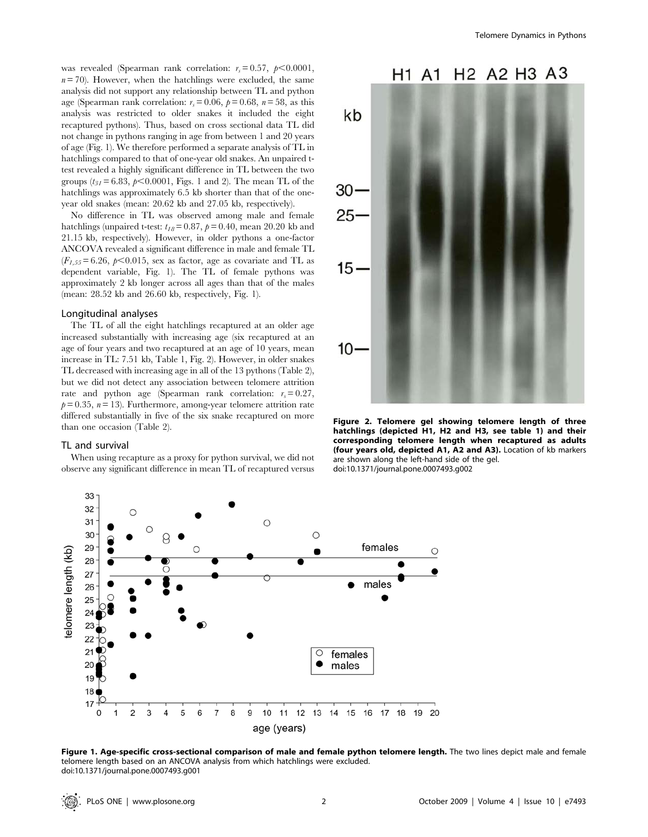was revealed (Spearman rank correlation:  $r_s = 0.57$ ,  $p \le 0.0001$ ,  $n = 70$ ). However, when the hatchlings were excluded, the same analysis did not support any relationship between TL and python age (Spearman rank correlation:  $r_s = 0.06$ ,  $p = 0.68$ ,  $n = 58$ , as this analysis was restricted to older snakes it included the eight recaptured pythons). Thus, based on cross sectional data TL did not change in pythons ranging in age from between 1 and 20 years of age (Fig. 1). We therefore performed a separate analysis of TL in hatchlings compared to that of one-year old snakes. An unpaired ttest revealed a highly significant difference in TL between the two groups ( $t_{31} = 6.83$ ,  $p < 0.0001$ , Figs. 1 and 2). The mean TL of the hatchlings was approximately 6.5 kb shorter than that of the oneyear old snakes (mean: 20.62 kb and 27.05 kb, respectively).

No difference in TL was observed among male and female hatchlings (unpaired t-test:  $t_{18} = 0.87$ ,  $p = 0.40$ , mean 20.20 kb and 21.15 kb, respectively). However, in older pythons a one-factor ANCOVA revealed a significant difference in male and female TL  $(F<sub>L.55</sub>= 6.26, p<0.015$ , sex as factor, age as covariate and TL as dependent variable, Fig. 1). The TL of female pythons was approximately 2 kb longer across all ages than that of the males (mean: 28.52 kb and 26.60 kb, respectively, Fig. 1).

#### Longitudinal analyses

The TL of all the eight hatchlings recaptured at an older age increased substantially with increasing age (six recaptured at an age of four years and two recaptured at an age of 10 years, mean increase in TL: 7.51 kb, Table 1, Fig. 2). However, in older snakes TL decreased with increasing age in all of the 13 pythons (Table 2), but we did not detect any association between telomere attrition rate and python age (Spearman rank correlation:  $r_s = 0.27$ ,  $p = 0.35$ ,  $n = 13$ ). Furthermore, among-year telomere attrition rate differed substantially in five of the six snake recaptured on more than one occasion (Table 2).

#### TL and survival

When using recapture as a proxy for python survival, we did not observe any significant difference in mean TL of recaptured versus



Figure 2. Telomere gel showing telomere length of three hatchlings (depicted H1, H2 and H3, see table 1) and their corresponding telomere length when recaptured as adults (four years old, depicted A1, A2 and A3). Location of kb markers are shown along the left-hand side of the gel. doi:10.1371/journal.pone.0007493.g002



Figure 1. Age-specific cross-sectional comparison of male and female python telomere length. The two lines depict male and female telomere length based on an ANCOVA analysis from which hatchlings were excluded. doi:10.1371/journal.pone.0007493.g001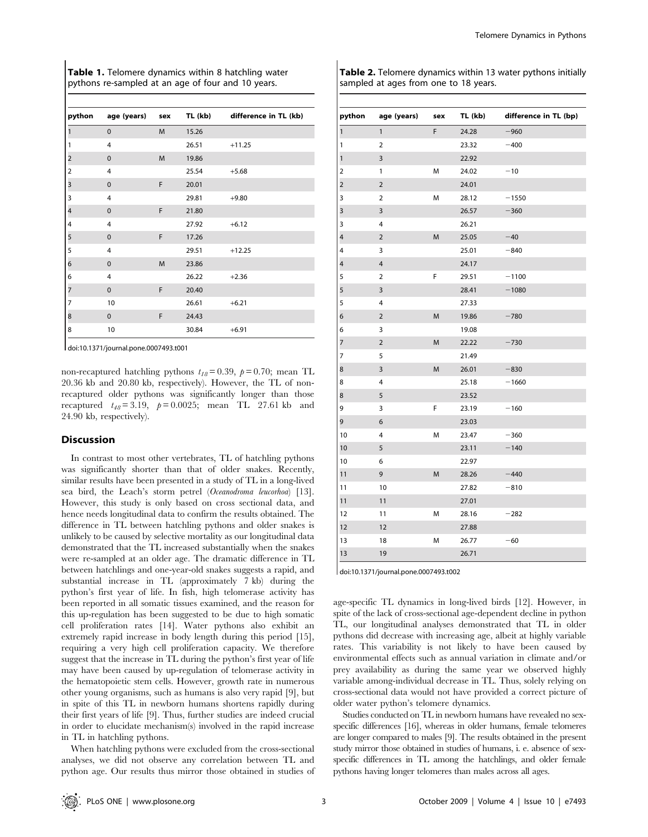Table 1. Telomere dynamics within 8 hatchling water pythons re-sampled at an age of four and 10 years.

| python                  | age (years)  | sex | TL (kb) | difference in TL (kb) |
|-------------------------|--------------|-----|---------|-----------------------|
| 1                       | $\pmb{0}$    | M   | 15.26   |                       |
| 1                       | 4            |     | 26.51   | $+11.25$              |
| $\overline{\mathbf{c}}$ | $\mathbf 0$  | M   | 19.86   |                       |
| $\overline{2}$          | 4            |     | 25.54   | $+5.68$               |
| 3                       | $\mathbf 0$  | F   | 20.01   |                       |
| 3                       | 4            |     | 29.81   | $+9.80$               |
| 4                       | $\mathbf{0}$ | F   | 21.80   |                       |
| 4                       | 4            |     | 27.92   | $+6.12$               |
| 5                       | $\mathbf 0$  | F   | 17.26   |                       |
| 5                       | 4            |     | 29.51   | $+12.25$              |
| 6                       | $\mathbf 0$  | M   | 23.86   |                       |
| 6                       | 4            |     | 26.22   | $+2.36$               |
| 7                       | $\mathbf 0$  | F   | 20.40   |                       |
| 7                       | 10           |     | 26.61   | $+6.21$               |
| 8                       | $\mathbf 0$  | F   | 24.43   |                       |
| 8                       | 10           |     | 30.84   | $+6.91$               |
|                         |              |     |         |                       |

doi:10.1371/journal.pone.0007493.t001

non-recaptured hatchling pythons  $t_{18} = 0.39$ ,  $p = 0.70$ ; mean TL 20.36 kb and 20.80 kb, respectively). However, the TL of nonrecaptured older pythons was significantly longer than those recaptured  $t_{48} = 3.19$ ,  $p = 0.0025$ ; mean TL 27.61 kb and 24.90 kb, respectively).

#### **Discussion**

In contrast to most other vertebrates, TL of hatchling pythons was significantly shorter than that of older snakes. Recently, similar results have been presented in a study of TL in a long-lived sea bird, the Leach's storm petrel (Oceanodroma leucorhoa) [13]. However, this study is only based on cross sectional data, and hence needs longitudinal data to confirm the results obtained. The difference in TL between hatchling pythons and older snakes is unlikely to be caused by selective mortality as our longitudinal data demonstrated that the TL increased substantially when the snakes were re-sampled at an older age. The dramatic difference in TL between hatchlings and one-year-old snakes suggests a rapid, and substantial increase in TL (approximately 7 kb) during the python's first year of life. In fish, high telomerase activity has been reported in all somatic tissues examined, and the reason for this up-regulation has been suggested to be due to high somatic cell proliferation rates [14]. Water pythons also exhibit an extremely rapid increase in body length during this period [15], requiring a very high cell proliferation capacity. We therefore suggest that the increase in TL during the python's first year of life may have been caused by up-regulation of telomerase activity in the hematopoietic stem cells. However, growth rate in numerous other young organisms, such as humans is also very rapid [9], but in spite of this TL in newborn humans shortens rapidly during their first years of life [9]. Thus, further studies are indeed crucial in order to elucidate mechanism(s) involved in the rapid increase in TL in hatchling pythons.

When hatchling pythons were excluded from the cross-sectional analyses, we did not observe any correlation between TL and python age. Our results thus mirror those obtained in studies of Table 2. Telomere dynamics within 13 water pythons initially sampled at ages from one to 18 years.

|                | python age (years) | sex | TL (kb) | difference in TL (bp) |
|----------------|--------------------|-----|---------|-----------------------|
| $\mathbf{1}$   | $\mathbf{1}$       | F.  | 24.28   | $-960$                |
| $\mathbf{1}$   | $\overline{2}$     |     | 23.32   | $-400$                |
| $\mathbf{1}$   | 3                  |     | 22.92   |                       |
| 2              | 1                  | M   | 24.02   | $-10$                 |
| $\overline{2}$ | $\overline{2}$     |     | 24.01   |                       |
| 3              | 2                  | М   | 28.12   | $-1550$               |
| 3              | 3                  |     | 26.57   | $-360$                |
| 3              | 4                  |     | 26.21   |                       |
| 4              | $\overline{2}$     | M   | 25.05   | $-40$                 |
| 4              | 3                  |     | 25.01   | $-840$                |
| 4              | 4                  |     | 24.17   |                       |
| 5              | 2                  | F   | 29.51   | $-1100$               |
| 5              | 3                  |     | 28.41   | $-1080$               |
| 5              | 4                  |     | 27.33   |                       |
| 6              | $\overline{2}$     | M   | 19.86   | $-780$                |
| 6              | 3                  |     | 19.08   |                       |
| 7              | $\overline{2}$     | M   | 22.22   | $-730$                |
| 7              | 5                  |     | 21.49   |                       |
| 8              | 3                  | M   | 26.01   | $-830$                |
| 8              | 4                  |     | 25.18   | $-1660$               |
| 8              | 5                  |     | 23.52   |                       |
| 9              | 3                  | F   | 23.19   | $-160$                |
| 9              | 6                  |     | 23.03   |                       |
| 10             | 4                  | M   | 23.47   | $-360$                |
| 10             | 5                  |     | 23.11   | $-140$                |
| 10             | 6                  |     | 22.97   |                       |
| 11             | 9                  | M   | 28.26   | $-440$                |
| 11             | 10                 |     | 27.82   | $-810$                |
| 11             | 11                 |     | 27.01   |                       |
| 12             | 11                 | M   | 28.16   | $-282$                |
| 12             | 12                 |     | 27.88   |                       |
| 13             | 18                 | M   | 26.77   | $-60$                 |
| 13             | 19                 |     | 26.71   |                       |

doi:10.1371/journal.pone.0007493.t002

age-specific TL dynamics in long-lived birds [12]. However, in spite of the lack of cross-sectional age-dependent decline in python TL, our longitudinal analyses demonstrated that TL in older pythons did decrease with increasing age, albeit at highly variable rates. This variability is not likely to have been caused by environmental effects such as annual variation in climate and/or prey availability as during the same year we observed highly variable among-individual decrease in TL. Thus, solely relying on cross-sectional data would not have provided a correct picture of older water python's telomere dynamics.

Studies conducted on TL in newborn humans have revealed no sexspecific differences [16], whereas in older humans, female telomeres are longer compared to males [9]. The results obtained in the present study mirror those obtained in studies of humans, i. e. absence of sexspecific differences in TL among the hatchlings, and older female pythons having longer telomeres than males across all ages.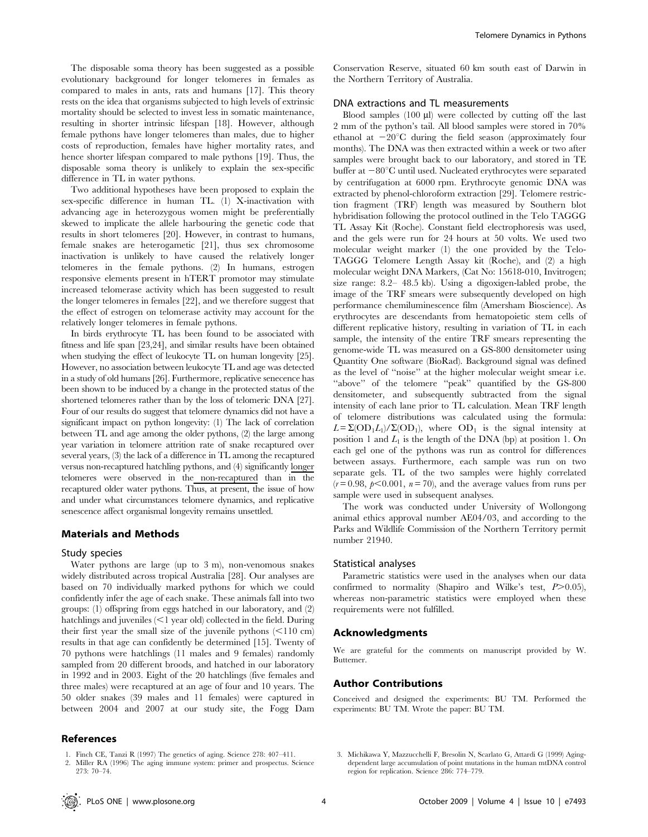The disposable soma theory has been suggested as a possible evolutionary background for longer telomeres in females as compared to males in ants, rats and humans [17]. This theory rests on the idea that organisms subjected to high levels of extrinsic mortality should be selected to invest less in somatic maintenance, resulting in shorter intrinsic lifespan [18]. However, although female pythons have longer telomeres than males, due to higher costs of reproduction, females have higher mortality rates, and hence shorter lifespan compared to male pythons [19]. Thus, the disposable soma theory is unlikely to explain the sex-specific difference in TL in water pythons.

Two additional hypotheses have been proposed to explain the sex-specific difference in human TL. (1) X-inactivation with advancing age in heterozygous women might be preferentially skewed to implicate the allele harbouring the genetic code that results in short telomeres [20]. However, in contrast to humans, female snakes are heterogametic [21], thus sex chromosome inactivation is unlikely to have caused the relatively longer telomeres in the female pythons. (2) In humans, estrogen responsive elements present in hTERT promotor may stimulate increased telomerase activity which has been suggested to result the longer telomeres in females [22], and we therefore suggest that the effect of estrogen on telomerase activity may account for the relatively longer telomeres in female pythons.

In birds erythrocyte TL has been found to be associated with fitness and life span [23,24], and similar results have been obtained when studying the effect of leukocyte TL on human longevity [25]. However, no association between leukocyte TL and age was detected in a study of old humans [26]. Furthermore, replicative senecence has been shown to be induced by a change in the protected status of the shortened telomeres rather than by the loss of telomeric DNA [27]. Four of our results do suggest that telomere dynamics did not have a significant impact on python longevity: (1) The lack of correlation between TL and age among the older pythons, (2) the large among year variation in telomere attrition rate of snake recaptured over several years, (3) the lack of a difference in TL among the recaptured versus non-recaptured hatchling pythons, and (4) significantly longer telomeres were observed in the non-recaptured than in the recaptured older water pythons. Thus, at present, the issue of how and under what circumstances telomere dynamics, and replicative senescence affect organismal longevity remains unsettled.

#### Materials and Methods

#### Study species

Water pythons are large (up to 3 m), non-venomous snakes widely distributed across tropical Australia [28]. Our analyses are based on 70 individually marked pythons for which we could confidently infer the age of each snake. These animals fall into two groups: (1) offspring from eggs hatched in our laboratory, and (2) hatchlings and juveniles  $\leq 1$  year old) collected in the field. During their first year the small size of the juvenile pythons  $\leq 110$  cm) results in that age can confidently be determined [15]. Twenty of 70 pythons were hatchlings (11 males and 9 females) randomly sampled from 20 different broods, and hatched in our laboratory in 1992 and in 2003. Eight of the 20 hatchlings (five females and three males) were recaptured at an age of four and 10 years. The 50 older snakes (39 males and 11 females) were captured in between 2004 and 2007 at our study site, the Fogg Dam

### References

Conservation Reserve, situated 60 km south east of Darwin in the Northern Territory of Australia.

### DNA extractions and TL measurements

Blood samples  $(100 \mu l)$  were collected by cutting off the last 2 mm of the python's tail. All blood samples were stored in 70% ethanol at  $-20^{\circ}$ C during the field season (approximately four months). The DNA was then extracted within a week or two after samples were brought back to our laboratory, and stored in TE buffer at  $-80^{\circ}$ C until used. Nucleated erythrocytes were separated by centrifugation at 6000 rpm. Erythrocyte genomic DNA was extracted by phenol-chloroform extraction [29]. Telomere restriction fragment (TRF) length was measured by Southern blot hybridisation following the protocol outlined in the Telo TAGGG TL Assay Kit (Roche). Constant field electrophoresis was used, and the gels were run for 24 hours at 50 volts. We used two molecular weight marker (1) the one provided by the Telo-TAGGG Telomere Length Assay kit (Roche), and (2) a high molecular weight DNA Markers, (Cat No: 15618-010, Invitrogen; size range: 8.2– 48.5 kb). Using a digoxigen-labled probe, the image of the TRF smears were subsequently developed on high performance chemiluminescence film (Amersham Bioscience). As erythrocytes are descendants from hematopoietic stem cells of different replicative history, resulting in variation of TL in each sample, the intensity of the entire TRF smears representing the genome-wide TL was measured on a GS-800 densitometer using Quantity One software (BioRad). Background signal was defined as the level of ''noise'' at the higher molecular weight smear i.e. ''above'' of the telomere ''peak'' quantified by the GS-800 densitometer, and subsequently subtracted from the signal intensity of each lane prior to TL calculation. Mean TRF length of telomere distributions was calculated using the formula:  $L = \Sigma (OD_1L_1)/\Sigma (OD_1)$ , where  $OD_1$  is the signal intensity at position 1 and  $L_1$  is the length of the DNA (bp) at position 1. On each gel one of the pythons was run as control for differences between assays. Furthermore, each sample was run on two separate gels. TL of the two samples were highly correlated  $(r=0.98, p<0.001, n=70)$ , and the average values from runs per sample were used in subsequent analyses.

The work was conducted under University of Wollongong animal ethics approval number AE04/03, and according to the Parks and Wildlife Commission of the Northern Territory permit number 21940.

## Statistical analyses

Parametric statistics were used in the analyses when our data confirmed to normality (Shapiro and Wilke's test,  $P > 0.05$ ), whereas non-parametric statistics were employed when these requirements were not fulfilled.

## Acknowledgments

We are grateful for the comments on manuscript provided by W. Buttemer.

#### Author Contributions

Conceived and designed the experiments: BU TM. Performed the experiments: BU TM. Wrote the paper: BU TM.

<sup>1.</sup> Finch CE, Tanzi R (1997) The genetics of aging. Science 278: 407–411.

<sup>2.</sup> Miller RA (1996) The aging immune system: primer and prospectus. Science 273: 70–74.

<sup>3.</sup> Michikawa Y, Mazzucchelli F, Bresolin N, Scarlato G, Attardi G (1999) Agingdependent large accumulation of point mutations in the human mtDNA control region for replication. Science 286: 774–779.